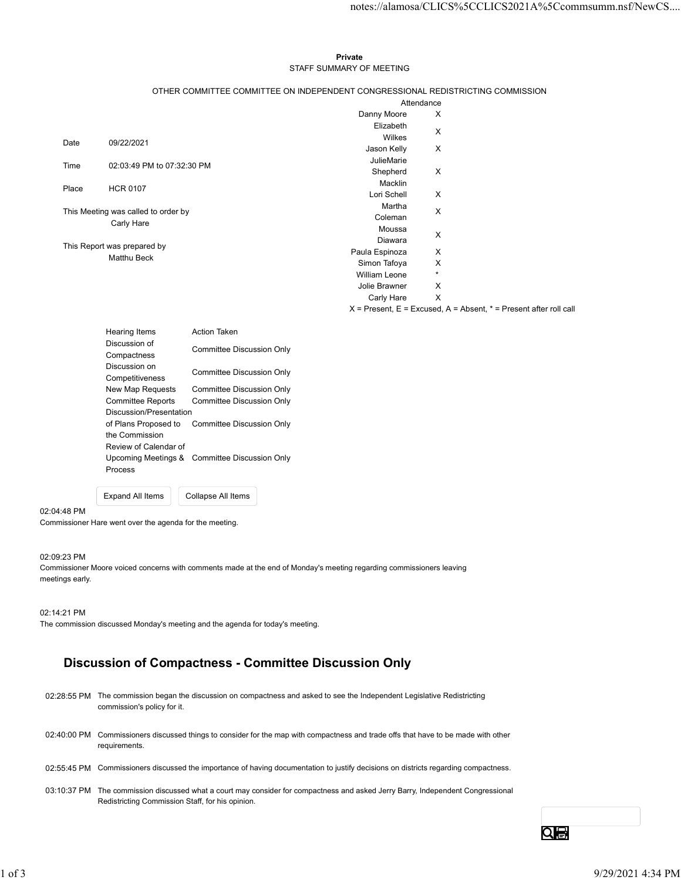#### Private **Private** and *Private* and *Private* and *Private* and *Private* and *Private* and *Private* and *Private* and *Private* and *Private* and *Private* and *Private* and *Private* and *Private* and *Private* and *Pri* STAFF SUMMARY OF MEETING

|       |                                     |                                                                                 |                           |              | notes://alamosa/CLICS%5CCLICS2021A%5Ccommsumm.nsf/NewCS               |  |
|-------|-------------------------------------|---------------------------------------------------------------------------------|---------------------------|--------------|-----------------------------------------------------------------------|--|
|       |                                     |                                                                                 |                           |              |                                                                       |  |
|       |                                     |                                                                                 |                           |              |                                                                       |  |
|       |                                     |                                                                                 |                           |              |                                                                       |  |
|       |                                     |                                                                                 | Private                   |              |                                                                       |  |
|       |                                     |                                                                                 | STAFF SUMMARY OF MEETING  |              |                                                                       |  |
|       |                                     | OTHER COMMITTEE COMMITTEE ON INDEPENDENT CONGRESSIONAL REDISTRICTING COMMISSION |                           |              |                                                                       |  |
|       |                                     |                                                                                 |                           | Attendance   |                                                                       |  |
|       |                                     |                                                                                 | Danny Moore               | X            |                                                                       |  |
|       |                                     |                                                                                 | Elizabeth                 | X            |                                                                       |  |
| Date  | 09/22/2021                          |                                                                                 | Wilkes                    |              |                                                                       |  |
|       |                                     |                                                                                 | Jason Kelly               | X            |                                                                       |  |
| Time  | 02:03:49 PM to 07:32:30 PM          |                                                                                 | JulieMarie<br>Shepherd    | X            |                                                                       |  |
|       |                                     |                                                                                 | Macklin                   |              |                                                                       |  |
| Place | <b>HCR 0107</b>                     |                                                                                 | Lori Schell               | X            |                                                                       |  |
|       | This Meeting was called to order by |                                                                                 | Martha                    | X            |                                                                       |  |
|       | Carly Hare                          |                                                                                 | Coleman                   |              |                                                                       |  |
|       |                                     |                                                                                 | Moussa                    | X            |                                                                       |  |
|       | This Report was prepared by         |                                                                                 | Diawara<br>Paula Espinoza | Χ            |                                                                       |  |
|       | Matthu Beck                         |                                                                                 | Simon Tafoya              | X            |                                                                       |  |
|       |                                     |                                                                                 | William Leone             | $\star$      |                                                                       |  |
|       |                                     |                                                                                 | Jolie Brawner             | X            |                                                                       |  |
|       |                                     |                                                                                 | Carly Hare                | $\mathsf{X}$ |                                                                       |  |
|       |                                     |                                                                                 |                           |              | $X =$ Present, E = Excused, A = Absent, $* =$ Present after roll call |  |
|       | Hearing Items                       | Action Taken                                                                    |                           |              |                                                                       |  |
|       | Discussion of                       | <b>Committee Discussion Only</b>                                                |                           |              |                                                                       |  |
|       | Compactness                         |                                                                                 |                           |              |                                                                       |  |
|       | Discussion on<br>Competitiveness    | <b>Committee Discussion Only</b>                                                |                           |              |                                                                       |  |
|       | New Map Requests                    | <b>Committee Discussion Only</b>                                                |                           |              |                                                                       |  |
|       | <b>Committee Reports</b>            | <b>Committee Discussion Only</b>                                                |                           |              |                                                                       |  |
|       | Discussion/Presentation             |                                                                                 |                           |              |                                                                       |  |
|       | of Plans Proposed to                | <b>Committee Discussion Only</b>                                                |                           |              |                                                                       |  |
|       | the Commission                      |                                                                                 |                           |              |                                                                       |  |
|       | Review of Calendar of               | Upcoming Meetings & Committee Discussion Only                                   |                           |              |                                                                       |  |
|       | Process                             |                                                                                 |                           |              |                                                                       |  |

| <b>Hearing Items</b>     | <b>Action Taken</b>                           |  |
|--------------------------|-----------------------------------------------|--|
| Discussion of            | Committee Discussion Only                     |  |
| Compactness              |                                               |  |
| Discussion on            | Committee Discussion Only                     |  |
| Competitiveness          |                                               |  |
| New Map Requests         | Committee Discussion Only                     |  |
| <b>Committee Reports</b> | Committee Discussion Only                     |  |
| Discussion/Presentation  |                                               |  |
| of Plans Proposed to     | Committee Discussion Only                     |  |
| the Commission           |                                               |  |
| Review of Calendar of    |                                               |  |
|                          | Upcoming Meetings & Committee Discussion Only |  |
| <b>Process</b>           |                                               |  |
|                          |                                               |  |

#### 02:04:48 PM

Commissioner Hare went over the agenda for the meeting.

### 02:09:23 PM

Commissioner Moore voiced concerns with comments made at the end of Monday's meeting regarding commissioners leaving meetings early.

#### 02:14:21 PM

The commission discussed Monday's meeting and the agenda for today's meeting.

Expand All Items Collapse All Items

# Discussion of Compactness - Committee Discussion Only

- 02:28:55 PM The commission began the discussion on compactness and asked to see the Independent Legislative Redistricting commission's policy for it. 02:40:00 PM Commissioners discussed things to consider for the map with compactness and trade offs that have to be made with other 02:14:21 PM<br>
The commission discussed Monday's rreating and the agenda for today's meeting.<br>
Discussion of Compactness - Committee Discussion Only<br>
02:26:55 PM The commission's pathy for it.<br>
02:40:00 PM Commission's pathy
	- requirements.
	- 02:55:45 PM Commissioners discussed the importance of having documentation to justify decisions on districts regarding compactness.
	- 03:10:37 PM The commission discussed what a court may consider for compactness and asked Jerry Barry, Independent Congressional Redistricting Commission Staff, for his opinion.

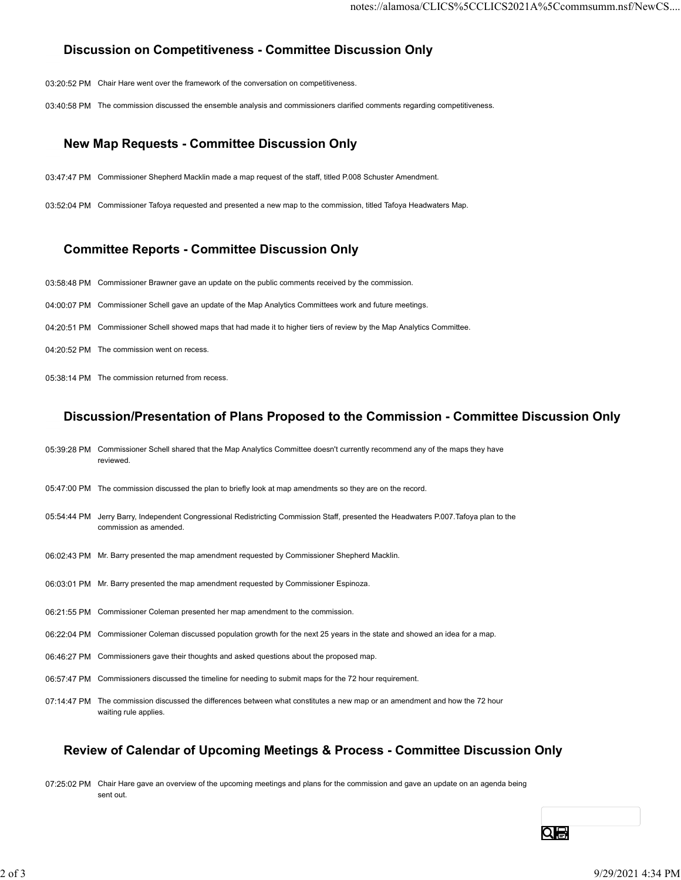# Discussion on Competitiveness - Committee Discussion Only

- 03:20:52 PM Chair Hare went over the framework of the conversation on competitiveness.
- 03:40:58 PM The commission discussed the ensemble analysis and commissioners clarified comments regarding competitiveness.

## New Map Requests - Committee Discussion Only

- 03:47:47 PM Commissioner Shepherd Macklin made a map request of the staff, titled P.008 Schuster Amendment.
- 03:52:04 PM Commissioner Tafoya requested and presented a new map to the commission, titled Tafoya Headwaters Map.

## Committee Reports - Committee Discussion Only

- 03:58:48 PM Commissioner Brawner gave an update on the public comments received by the commission.
- 04:00:07 PM Commissioner Schell gave an update of the Map Analytics Committees work and future meetings.
- 04:20:51 PM Commissioner Schell showed maps that had made it to higher tiers of review by the Map Analytics Committee.
- 04:20:52 PM The commission went on recess.
- 05:38:14 PM The commission returned from recess.

## Discussion/Presentation of Plans Proposed to the Commission - Committee Discussion Only

- 05:39:28 PM Commissioner Schell shared that the Map Analytics Committee doesn't currently recommend any of the maps they have reviewed.
- 05:47:00 PM The commission discussed the plan to briefly look at map amendments so they are on the record.
- 05:54:44 PM Jerry Barry, Independent Congressional Redistricting Commission Staff, presented the Headwaters P.007.Tafoya plan to the commission as amended.
- 06:02:43 PM Mr. Barry presented the map amendment requested by Commissioner Shepherd Macklin.
- 06:03:01 PM Mr. Barry presented the map amendment requested by Commissioner Espinoza.
- 06:21:55 PM Commissioner Coleman presented her map amendment to the commission.
- 06:22:04 PM Commissioner Coleman discussed population growth for the next 25 years in the state and showed an idea for a map.
- 06:46:27 PM Commissioners gave their thoughts and asked questions about the proposed map.
- 06:57:47 PM Commissioners discussed the timeline for needing to submit maps for the 72 hour requirement.
- 07:14:47 PM The commission discussed the differences between what constitutes a new map or an amendment and how the 72 hour waiting rule applies.

## Review of Calendar of Upcoming Meetings & Process - Committee Discussion Only

07:25:02 PM Chair Hare gave an overview of the upcoming meetings and plans for the commission and gave an update on an agenda being sent out. 2021-55 PM Commissioner Coleman presented the ring amendment to the commission captures.<br>
2021-55 PM Commissioner Coleman presented the ring amendment to the commission.<br>
2022-20 PM Commissioner Coleman discussed the dimen